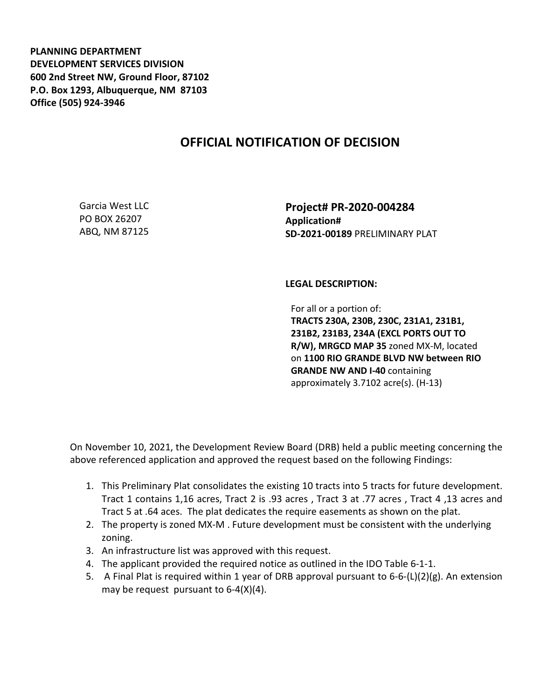**PLANNING DEPARTMENT DEVELOPMENT SERVICES DIVISION 600 2nd Street NW, Ground Floor, 87102 P.O. Box 1293, Albuquerque, NM 87103 Office (505) 924-3946** 

## **OFFICIAL NOTIFICATION OF DECISION**

Garcia West LLC PO BOX 26207 ABQ, NM 87125

**Project# PR-2020-004284 Application# SD-2021-00189** PRELIMINARY PLAT

## **LEGAL DESCRIPTION:**

For all or a portion of: **TRACTS 230A, 230B, 230C, 231A1, 231B1, 231B2, 231B3, 234A (EXCL PORTS OUT TO R/W), MRGCD MAP 35** zoned MX-M, located on **1100 RIO GRANDE BLVD NW between RIO GRANDE NW AND I-40** containing approximately 3.7102 acre(s). (H-13)

On November 10, 2021, the Development Review Board (DRB) held a public meeting concerning the above referenced application and approved the request based on the following Findings:

- 1. This Preliminary Plat consolidates the existing 10 tracts into 5 tracts for future development. Tract 1 contains 1,16 acres, Tract 2 is .93 acres , Tract 3 at .77 acres , Tract 4 ,13 acres and Tract 5 at .64 aces. The plat dedicates the require easements as shown on the plat.
- 2. The property is zoned MX-M . Future development must be consistent with the underlying zoning.
- 3. An infrastructure list was approved with this request.
- 4. The applicant provided the required notice as outlined in the IDO Table 6-1-1.
- 5. A Final Plat is required within 1 year of DRB approval pursuant to 6-6-(L)(2)(g). An extension may be request pursuant to 6-4(X)(4).